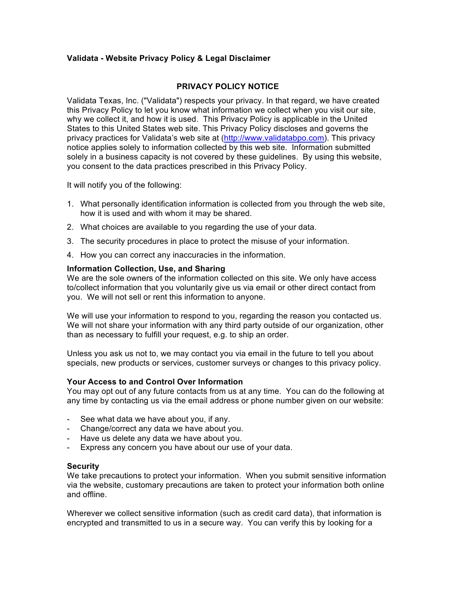# **Validata - Website Privacy Policy & Legal Disclaimer**

## **PRIVACY POLICY NOTICE**

Validata Texas, Inc. ("Validata") respects your privacy. In that regard, we have created this Privacy Policy to let you know what information we collect when you visit our site, why we collect it, and how it is used. This Privacy Policy is applicable in the United States to this United States web site. This Privacy Policy discloses and governs the privacy practices for Validata's web site at (http://www.validatabpo.com). This privacy notice applies solely to information collected by this web site. Information submitted solely in a business capacity is not covered by these guidelines. By using this website, you consent to the data practices prescribed in this Privacy Policy.

It will notify you of the following:

- 1. What personally identification information is collected from you through the web site, how it is used and with whom it may be shared.
- 2. What choices are available to you regarding the use of your data.
- 3. The security procedures in place to protect the misuse of your information.
- 4. How you can correct any inaccuracies in the information.

#### **Information Collection, Use, and Sharing**

We are the sole owners of the information collected on this site. We only have access to/collect information that you voluntarily give us via email or other direct contact from you. We will not sell or rent this information to anyone.

We will use your information to respond to you, regarding the reason you contacted us. We will not share your information with any third party outside of our organization, other than as necessary to fulfill your request, e.g. to ship an order.

Unless you ask us not to, we may contact you via email in the future to tell you about specials, new products or services, customer surveys or changes to this privacy policy.

### **Your Access to and Control Over Information**

You may opt out of any future contacts from us at any time. You can do the following at any time by contacting us via the email address or phone number given on our website:

- See what data we have about you, if any.
- Change/correct any data we have about you.
- Have us delete any data we have about you.
- Express any concern you have about our use of your data.

#### **Security**

We take precautions to protect your information. When you submit sensitive information via the website, customary precautions are taken to protect your information both online and offline.

Wherever we collect sensitive information (such as credit card data), that information is encrypted and transmitted to us in a secure way. You can verify this by looking for a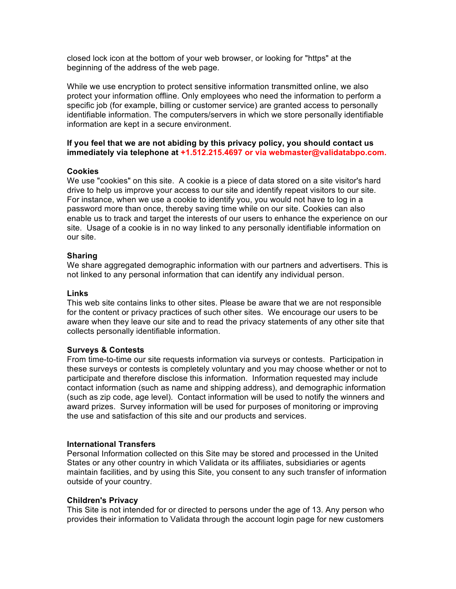closed lock icon at the bottom of your web browser, or looking for "https" at the beginning of the address of the web page.

While we use encryption to protect sensitive information transmitted online, we also protect your information offline. Only employees who need the information to perform a specific job (for example, billing or customer service) are granted access to personally identifiable information. The computers/servers in which we store personally identifiable information are kept in a secure environment.

## **If you feel that we are not abiding by this privacy policy, you should contact us immediately via telephone at +1.512.215.4697 or via webmaster@validatabpo.com.**

## **Cookies**

We use "cookies" on this site. A cookie is a piece of data stored on a site visitor's hard drive to help us improve your access to our site and identify repeat visitors to our site. For instance, when we use a cookie to identify you, you would not have to log in a password more than once, thereby saving time while on our site. Cookies can also enable us to track and target the interests of our users to enhance the experience on our site. Usage of a cookie is in no way linked to any personally identifiable information on our site.

## **Sharing**

We share aggregated demographic information with our partners and advertisers. This is not linked to any personal information that can identify any individual person.

## **Links**

This web site contains links to other sites. Please be aware that we are not responsible for the content or privacy practices of such other sites. We encourage our users to be aware when they leave our site and to read the privacy statements of any other site that collects personally identifiable information.

### **Surveys & Contests**

From time-to-time our site requests information via surveys or contests. Participation in these surveys or contests is completely voluntary and you may choose whether or not to participate and therefore disclose this information. Information requested may include contact information (such as name and shipping address), and demographic information (such as zip code, age level). Contact information will be used to notify the winners and award prizes. Survey information will be used for purposes of monitoring or improving the use and satisfaction of this site and our products and services.

### **International Transfers**

Personal Information collected on this Site may be stored and processed in the United States or any other country in which Validata or its affiliates, subsidiaries or agents maintain facilities, and by using this Site, you consent to any such transfer of information outside of your country.

### **Children's Privacy**

This Site is not intended for or directed to persons under the age of 13. Any person who provides their information to Validata through the account login page for new customers